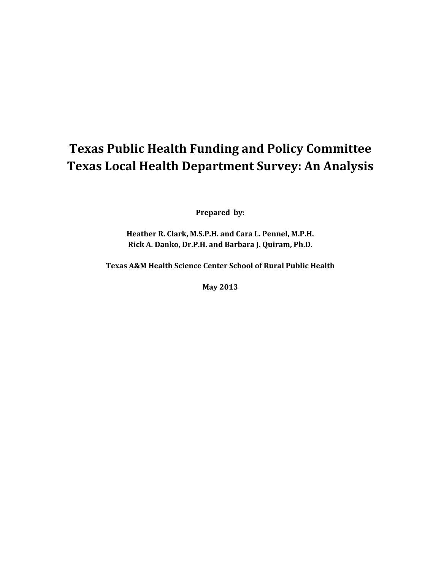# **Texas Public Health Funding and Policy Committee Texas Local Health Department Survey: An Analysis**

**Prepared by:**

**Heather R. Clark, M.S.P.H. and Cara L. Pennel, M.P.H. Rick A. Danko, Dr.P.H. and Barbara J. Quiram, Ph.D.**

**Texas A&M Health Science Center School of Rural Public Health**

**May 2013**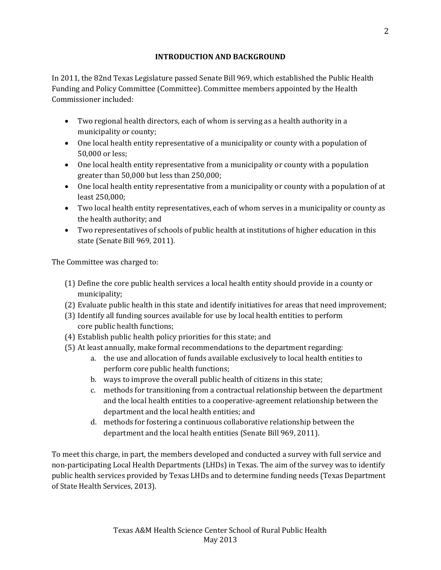## **INTRODUCTION AND BACKGROUND**

In 2011, the 82nd Texas Legislature passed Senate Bill 969, which established the Public Health Funding and Policy Committee (Committee). Committee members appointed by the Health Commissioner included:

- Two regional health directors, each of whom is serving as a health authority in a municipality or county;
- One local health entity representative of a municipality or county with a population of 50,000 or less;
- One local health entity representative from a municipality or county with a population greater than 50,000 but less than 250,000;
- One local health entity representative from a municipality or county with a population of at least 250,000;
- Two local health entity representatives, each of whom serves in a municipality or county as the health authority; and
- Two representatives of schools of public health at institutions of higher education in this state (Senate Bill 969, 2011).

The Committee was charged to:

- (1) Define the core public health services a local health entity should provide in a county or municipality;
- (2) Evaluate public health in this state and identify initiatives for areas that need improvement;
- (3) Identify all funding sources available for use by local health entities to perform core public health functions;
- (4) Establish public health policy priorities for this state; and
- (5) At least annually, make formal recommendations to the department regarding:
	- a. the use and allocation of funds available exclusively to local health entities to perform core public health functions;
	- b. ways to improve the overall public health of citizens in this state;
	- c. methods for transitioning from a contractual relationship between the department and the local health entities to a cooperative-agreement relationship between the department and the local health entities; and
	- d. methods for fostering a continuous collaborative relationship between the department and the local health entities (Senate Bill 969, 2011).

To meet this charge, in part, the members developed and conducted a survey with full service and non-participating Local Health Departments (LHDs) in Texas. The aim of the survey was to identify public health services provided by Texas LHDs and to determine funding needs (Texas Department of State Health Services, 2013).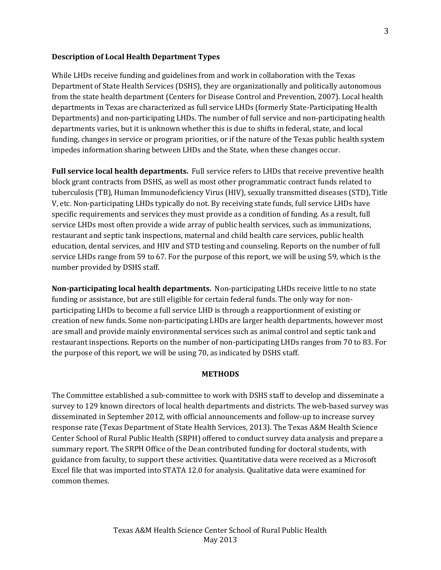#### **Description of Local Health Department Types**

While LHDs receive funding and guidelines from and work in collaboration with the Texas Department of State Health Services (DSHS), they are organizationally and politically autonomous from the state health department (Centers for Disease Control and Prevention, 2007). Local health departments in Texas are characterized as full service LHDs (formerly State-Participating Health Departments) and non-participating LHDs. The number of full service and non-participating health departments varies, but it is unknown whether this is due to shifts in federal, state, and local funding, changes in service or program priorities, or if the nature of the Texas public health system impedes information sharing between LHDs and the State, when these changes occur.

**Full service local health departments.** Full service refers to LHDs that receive preventive health block grant contracts from DSHS, as well as most other programmatic contract funds related to tuberculosis (TB), Human Immunodeficiency Virus (HIV), sexually transmitted diseases (STD), Title V, etc. Non-participating LHDs typically do not. By receiving state funds, full service LHDs have specific requirements and services they must provide as a condition of funding. As a result, full service LHDs most often provide a wide array of public health services, such as immunizations, restaurant and septic tank inspections, maternal and child health care services, public health education, dental services, and HIV and STD testing and counseling. Reports on the number of full service LHDs range from 59 to 67. For the purpose of this report, we will be using 59, which is the number provided by DSHS staff.

**Non-participating local health departments.** Non-participating LHDs receive little to no state funding or assistance, but are still eligible for certain federal funds. The only way for nonparticipating LHDs to become a full service LHD is through a reapportionment of existing or creation of new funds. Some non-participating LHDs are larger health departments, however most are small and provide mainly environmental services such as animal control and septic tank and restaurant inspections. Reports on the number of non-participating LHDs ranges from 70 to 83. For the purpose of this report, we will be using 70, as indicated by DSHS staff.

#### **METHODS**

The Committee established a sub-committee to work with DSHS staff to develop and disseminate a survey to 129 known directors of local health departments and districts. The web-based survey was disseminated in September 2012, with official announcements and follow-up to increase survey response rate (Texas Department of State Health Services, 2013). The Texas A&M Health Science Center School of Rural Public Health (SRPH) offered to conduct survey data analysis and prepare a summary report. The SRPH Office of the Dean contributed funding for doctoral students, with guidance from faculty, to support these activities. Quantitative data were received as a Microsoft Excel file that was imported into STATA 12.0 for analysis. Qualitative data were examined for common themes.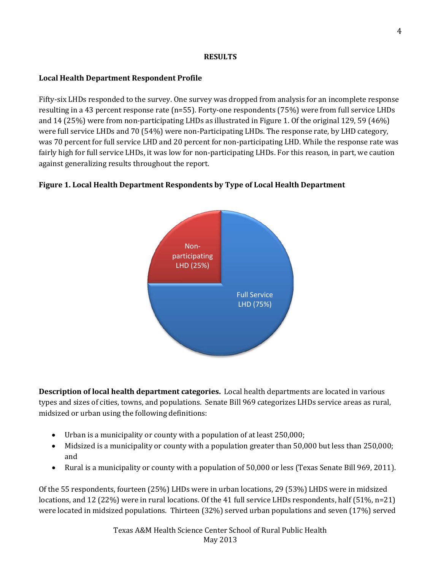## **RESULTS**

# **Local Health Department Respondent Profile**

Fifty-six LHDs responded to the survey. One survey was dropped from analysis for an incomplete response resulting in a 43 percent response rate (n=55). Forty-one respondents (75%) were from full service LHDs and 14 (25%) were from non-participating LHDs as illustrated in Figure 1. Of the original 129, 59 (46%) were full service LHDs and 70 (54%) were non-Participating LHDs. The response rate, by LHD category, was 70 percent for full service LHD and 20 percent for non-participating LHD. While the response rate was fairly high for full service LHDs, it was low for non-participating LHDs. For this reason, in part, we caution against generalizing results throughout the report.

# **Figure 1. Local Health Department Respondents by Type of Local Health Department**



**Description of local health department categories.** Local health departments are located in various types and sizes of cities, towns, and populations. Senate Bill 969 categorizes LHDs service areas as rural, midsized or urban using the following definitions:

- Urban is a municipality or county with a population of at least 250,000;
- Midsized is a municipality or county with a population greater than 50,000 but less than 250,000; and
- Rural is a municipality or county with a population of 50,000 or less (Texas Senate Bill 969, 2011).

Of the 55 respondents, fourteen (25%) LHDs were in urban locations, 29 (53%) LHDS were in midsized locations, and 12 (22%) were in rural locations. Of the 41 full service LHDs respondents, half (51%, n=21) were located in midsized populations. Thirteen (32%) served urban populations and seven (17%) served

> Texas A&M Health Science Center School of Rural Public Health May 2013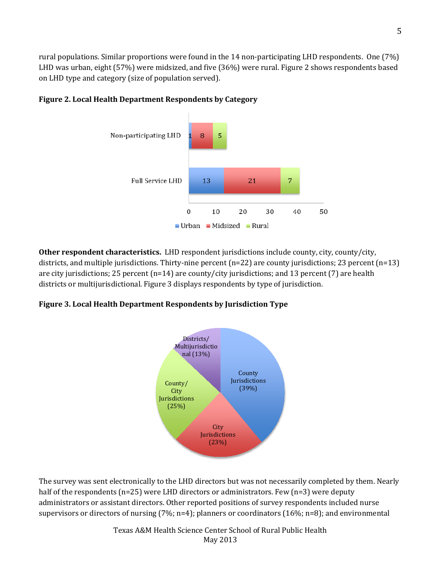rural populations. Similar proportions were found in the 14 non-participating LHD respondents. One (7%) LHD was urban, eight (57%) were midsized, and five (36%) were rural. Figure 2 shows respondents based on LHD type and category (size of population served).



## **Figure 2. Local Health Department Respondents by Category**

**Other respondent characteristics.** LHD respondent jurisdictions include county, city, county/city, districts, and multiple jurisdictions. Thirty-nine percent (n=22) are county jurisdictions; 23 percent (n=13) are city jurisdictions; 25 percent (n=14) are county/city jurisdictions; and 13 percent (7) are health districts or multijurisdictional. Figure 3 displays respondents by type of jurisdiction.

#### **Figure 3. Local Health Department Respondents by Jurisdiction Type**



The survey was sent electronically to the LHD directors but was not necessarily completed by them. Nearly half of the respondents (n=25) were LHD directors or administrators. Few (n=3) were deputy administrators or assistant directors. Other reported positions of survey respondents included nurse supervisors or directors of nursing (7%; n=4); planners or coordinators (16%; n=8); and environmental

> Texas A&M Health Science Center School of Rural Public Health May 2013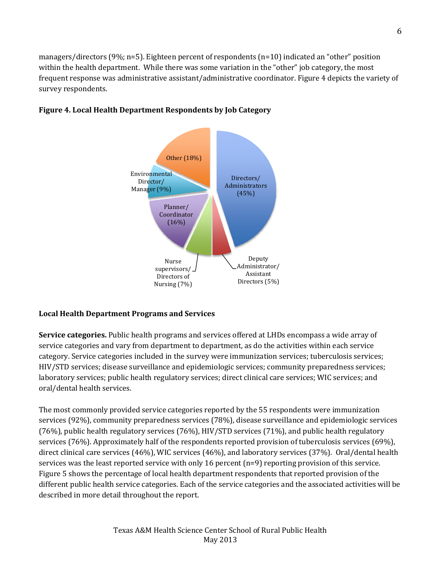managers/directors (9%; n=5). Eighteen percent of respondents (n=10) indicated an "other" position within the health department. While there was some variation in the "other" job category, the most frequent response was administrative assistant/administrative coordinator. Figure 4 depicts the variety of survey respondents.



# **Figure 4. Local Health Department Respondents by Job Category**

## **Local Health Department Programs and Services**

**Service categories.** Public health programs and services offered at LHDs encompass a wide array of service categories and vary from department to department, as do the activities within each service category. Service categories included in the survey were immunization services; tuberculosis services; HIV/STD services; disease surveillance and epidemiologic services; community preparedness services; laboratory services; public health regulatory services; direct clinical care services; WIC services; and oral/dental health services.

The most commonly provided service categories reported by the 55 respondents were immunization services (92%), community preparedness services (78%), disease surveillance and epidemiologic services (76%), public health regulatory services (76%), HIV/STD services (71%), and public health regulatory services (76%). Approximately half of the respondents reported provision of tuberculosis services (69%), direct clinical care services (46%), WIC services (46%), and laboratory services (37%). Oral/dental health services was the least reported service with only 16 percent (n=9) reporting provision of this service. Figure 5 shows the percentage of local health department respondents that reported provision of the different public health service categories. Each of the service categories and the associated activities will be described in more detail throughout the report.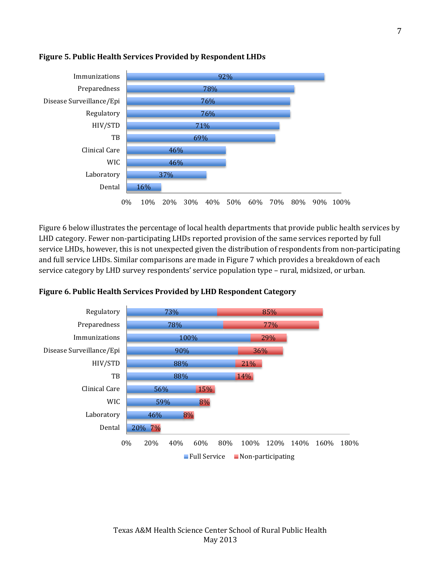

## **Figure 5. Public Health Services Provided by Respondent LHDs**

Figure 6 below illustrates the percentage of local health departments that provide public health services by LHD category. Fewer non-participating LHDs reported provision of the same services reported by full service LHDs, however, this is not unexpected given the distribution of respondents from non-participating and full service LHDs. Similar comparisons are made in Figure 7 which provides a breakdown of each service category by LHD survey respondents' service population type – rural, midsized, or urban.



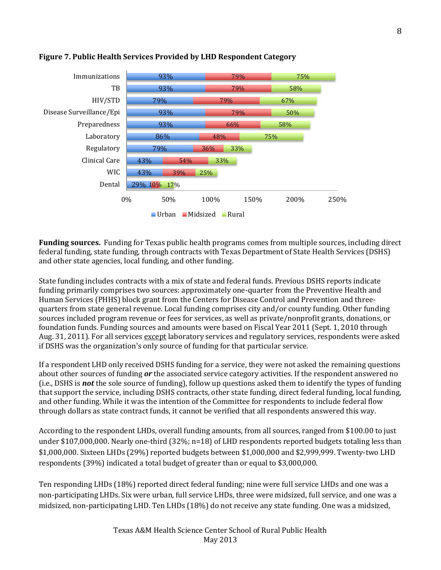

## **Figure 7. Public Health Services Provided by LHD Respondent Category**

**Funding sources.** Funding for Texas public health programs comes from multiple sources, including direct federal funding, state funding, through contracts with Texas Department of State Health Services (DSHS) and other state agencies, local funding, and other funding.

State funding includes contracts with a mix of state and federal funds. Previous DSHS reports indicate funding primarily comprises two sources: approximately one-quarter from the Preventive Health and Human Services (PHHS) block grant from the Centers for Disease Control and Prevention and threequarters from state general revenue. Local funding comprises city and/or county funding. Other funding sources included program revenue or fees for services, as well as private/nonprofit grants, donations, or foundation funds. Funding sources and amounts were based on Fiscal Year 2011 (Sept. 1, 2010 through Aug. 31, 2011). For all services except laboratory services and regulatory services, respondents were asked if DSHS was the organization's only source of funding for that particular service.

If a respondent LHD only received DSHS funding for a service, they were not asked the remaining questions about other sources of funding *or* the associated service category activities. If the respondent answered no (i.e., DSHS is *not* the sole source of funding), follow up questions asked them to identify the types of funding that support the service, including DSHS contracts, other state funding, direct federal funding, local funding, and other funding. While it was the intention of the Committee for respondents to include federal flow through dollars as state contract funds, it cannot be verified that all respondents answered this way.

According to the respondent LHDs, overall funding amounts, from all sources, ranged from \$100.00 to just under \$107,000,000. Nearly one-third (32%; n=18) of LHD respondents reported budgets totaling less than \$1,000,000. Sixteen LHDs (29%) reported budgets between \$1,000,000 and \$2,999,999. Twenty-two LHD respondents (39%) indicated a total budget of greater than or equal to \$3,000,000.

Ten responding LHDs (18%) reported direct federal funding; nine were full service LHDs and one was a non-participating LHDs. Six were urban, full service LHDs, three were midsized, full service, and one was a midsized, non-participating LHD. Ten LHDs (18%) do not receive any state funding. One was a midsized,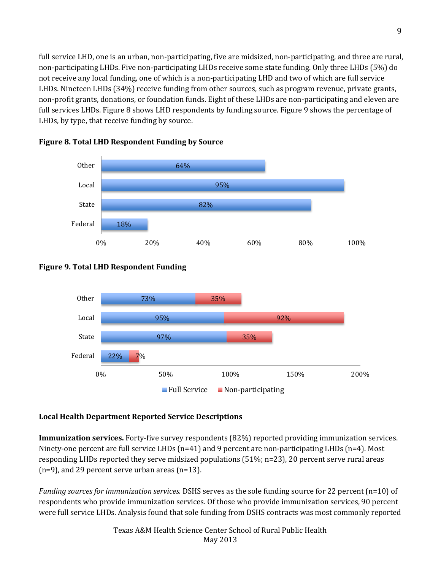full service LHD, one is an urban, non-participating, five are midsized, non-participating, and three are rural, non-participating LHDs. Five non-participating LHDs receive some state funding. Only three LHDs (5%) do not receive any local funding, one of which is a non-participating LHD and two of which are full service LHDs. Nineteen LHDs (34%) receive funding from other sources, such as program revenue, private grants, non-profit grants, donations, or foundation funds. Eight of these LHDs are non-participating and eleven are full services LHDs. Figure 8 shows LHD respondents by funding source. Figure 9 shows the percentage of LHDs, by type, that receive funding by source.



# **Figure 8. Total LHD Respondent Funding by Source**





# **Local Health Department Reported Service Descriptions**

**Immunization services.** Forty-five survey respondents (82%) reported providing immunization services. Ninety-one percent are full service LHDs  $(n=41)$  and 9 percent are non-participating LHDs  $(n=4)$ . Most responding LHDs reported they serve midsized populations (51%; n=23), 20 percent serve rural areas (n=9), and 29 percent serve urban areas (n=13).

*Funding sources for immunization services.* DSHS serves as the sole funding source for 22 percent (n=10) of respondents who provide immunization services. Of those who provide immunization services, 90 percent were full service LHDs. Analysis found that sole funding from DSHS contracts was most commonly reported

> Texas A&M Health Science Center School of Rural Public Health May 2013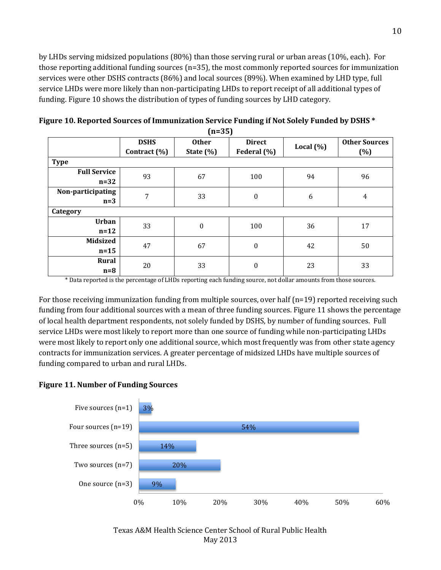by LHDs serving midsized populations (80%) than those serving rural or urban areas (10%, each). For those reporting additional funding sources (n=35), the most commonly reported sources for immunization services were other DSHS contracts (86%) and local sources (89%). When examined by LHD type, full service LHDs were more likely than non-participating LHDs to report receipt of all additional types of funding. Figure 10 shows the distribution of types of funding sources by LHD category.

| (IL-99)             |              |                         |                  |              |                      |  |  |  |
|---------------------|--------------|-------------------------|------------------|--------------|----------------------|--|--|--|
|                     | <b>DSHS</b>  | <b>Other</b>            | <b>Direct</b>    | Local $(\%)$ | <b>Other Sources</b> |  |  |  |
|                     | Contract (%) | State $(\%)$            | Federal (%)      |              | (%)                  |  |  |  |
| <b>Type</b>         |              |                         |                  |              |                      |  |  |  |
| <b>Full Service</b> | 93           | 67                      | 100              | 94           | 96                   |  |  |  |
| $n=32$              |              |                         |                  |              |                      |  |  |  |
| Non-participating   | 7            | 33                      | $\boldsymbol{0}$ | 6            | $\overline{4}$       |  |  |  |
| $n=3$               |              |                         |                  |              |                      |  |  |  |
| Category            |              |                         |                  |              |                      |  |  |  |
| <b>Urban</b>        | 33           | $\boldsymbol{0}$<br>100 |                  | 36           | 17                   |  |  |  |
| $n=12$              |              |                         |                  |              |                      |  |  |  |
| <b>Midsized</b>     | 47           |                         | $\boldsymbol{0}$ | 42           |                      |  |  |  |
| $n=15$              |              | 67                      |                  |              | 50                   |  |  |  |
| Rural               | 20           |                         |                  |              | 33                   |  |  |  |
| $n=8$               |              | 33                      | $\boldsymbol{0}$ | 23           |                      |  |  |  |

**Figure 10. Reported Sources of Immunization Service Funding if Not Solely Funded by DSHS \* (n=35)**

\* Data reported is the percentage of LHDs reporting each funding source, not dollar amounts from those sources.

For those receiving immunization funding from multiple sources, over half (n=19) reported receiving such funding from four additional sources with a mean of three funding sources. Figure 11 shows the percentage of local health department respondents, not solely funded by DSHS, by number of funding sources. Full service LHDs were most likely to report more than one source of funding while non-participating LHDs were most likely to report only one additional source, which most frequently was from other state agency contracts for immunization services. A greater percentage of midsized LHDs have multiple sources of funding compared to urban and rural LHDs.



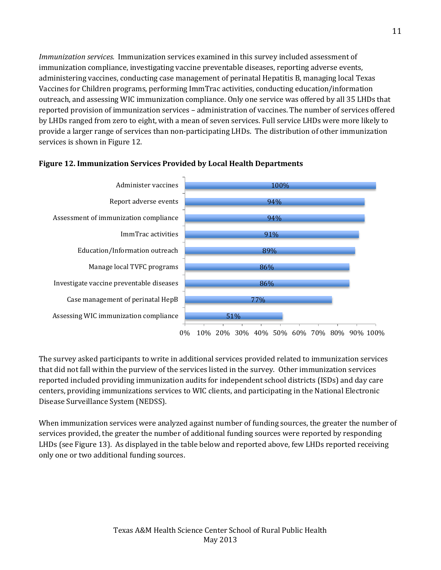*Immunization services.* Immunization services examined in this survey included assessment of immunization compliance, investigating vaccine preventable diseases, reporting adverse events, administering vaccines, conducting case management of perinatal Hepatitis B, managing local Texas Vaccines for Children programs, performing ImmTrac activities, conducting education/information outreach, and assessing WIC immunization compliance. Only one service was offered by all 35 LHDs that reported provision of immunization services – administration of vaccines. The number of services offered by LHDs ranged from zero to eight, with a mean of seven services. Full service LHDs were more likely to provide a larger range of services than non-participating LHDs. The distribution of other immunization services is shown in Figure 12.



## **Figure 12. Immunization Services Provided by Local Health Departments**

The survey asked participants to write in additional services provided related to immunization services that did not fall within the purview of the services listed in the survey. Other immunization services reported included providing immunization audits for independent school districts (ISDs) and day care centers, providing immunizations services to WIC clients, and participating in the National Electronic Disease Surveillance System (NEDSS).

When immunization services were analyzed against number of funding sources, the greater the number of services provided, the greater the number of additional funding sources were reported by responding LHDs (see Figure 13). As displayed in the table below and reported above, few LHDs reported receiving only one or two additional funding sources.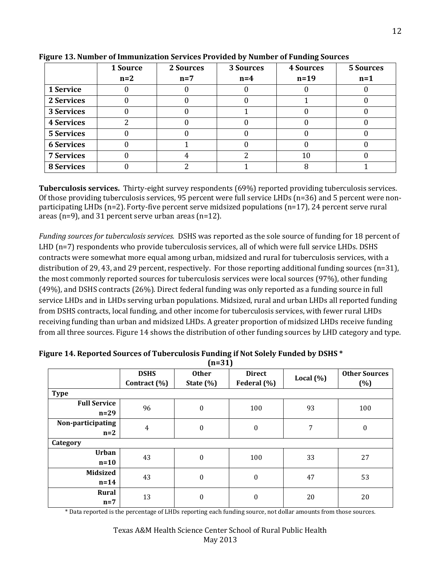|                   | 1 Source<br>$n=2$ | 2 Sources<br>$n=7$ | 3 Sources<br>$n=4$ | <b>4 Sources</b><br>$n=19$ | <b>5 Sources</b><br>$n=1$ |
|-------------------|-------------------|--------------------|--------------------|----------------------------|---------------------------|
| 1 Service         |                   |                    |                    |                            |                           |
| 2 Services        |                   |                    |                    |                            |                           |
| 3 Services        |                   |                    |                    |                            |                           |
| <b>4 Services</b> |                   |                    |                    |                            |                           |
| <b>5 Services</b> |                   |                    |                    |                            |                           |
| <b>6 Services</b> |                   |                    |                    |                            |                           |
| <b>7 Services</b> |                   |                    |                    | 10                         |                           |
| <b>8 Services</b> |                   |                    |                    |                            |                           |

**Figure 13. Number of Immunization Services Provided by Number of Funding Sources** 

**Tuberculosis services.** Thirty-eight survey respondents (69%) reported providing tuberculosis services. Of those providing tuberculosis services, 95 percent were full service LHDs (n=36) and 5 percent were nonparticipating LHDs (n=2). Forty-five percent serve midsized populations (n=17), 24 percent serve rural areas (n=9), and 31 percent serve urban areas (n=12).

*Funding sources for tuberculosis services.* DSHS was reported as the sole source of funding for 18 percent of LHD (n=7) respondents who provide tuberculosis services, all of which were full service LHDs. DSHS contracts were somewhat more equal among urban, midsized and rural for tuberculosis services, with a distribution of 29, 43, and 29 percent, respectively. For those reporting additional funding sources (n=31), the most commonly reported sources for tuberculosis services were local sources (97%), other funding (49%), and DSHS contracts (26%). Direct federal funding was only reported as a funding source in full service LHDs and in LHDs serving urban populations. Midsized, rural and urban LHDs all reported funding from DSHS contracts, local funding, and other income for tuberculosis services, with fewer rural LHDs receiving funding than urban and midsized LHDs. A greater proportion of midsized LHDs receive funding from all three sources. Figure 14 shows the distribution of other funding sources by LHD category and type.

|                     | <b>DSHS</b><br>Contract (%) | <b>Other</b><br>State $(\%)$ | <b>Direct</b><br>Federal (%) | Local $(\%)$ | <b>Other Sources</b><br>(%) |
|---------------------|-----------------------------|------------------------------|------------------------------|--------------|-----------------------------|
| <b>Type</b>         |                             |                              |                              |              |                             |
| <b>Full Service</b> | 96                          | $\boldsymbol{0}$             | 100                          | 93           | 100                         |
| $n=29$              |                             |                              |                              |              |                             |
| Non-participating   | $\overline{4}$              | $\boldsymbol{0}$             | $\boldsymbol{0}$             | 7            | $\boldsymbol{0}$            |
| $n=2$               |                             |                              |                              |              |                             |
| Category            |                             |                              |                              |              |                             |
| <b>Urban</b>        | 43                          | $\boldsymbol{0}$             | 100                          | 33           | 27                          |
| $n=10$              |                             |                              |                              |              |                             |
| <b>Midsized</b>     | 43                          | $\boldsymbol{0}$             | $\boldsymbol{0}$             | 47           | 53                          |
| $n=14$              |                             |                              |                              |              |                             |
| <b>Rural</b>        | 13                          | $\boldsymbol{0}$             | $\boldsymbol{0}$             | 20           | 20                          |
| $n=7$               |                             |                              |                              |              |                             |

**Figure 14. Reported Sources of Tuberculosis Funding if Not Solely Funded by DSHS \* (n=31)**

\* Data reported is the percentage of LHDs reporting each funding source, not dollar amounts from those sources.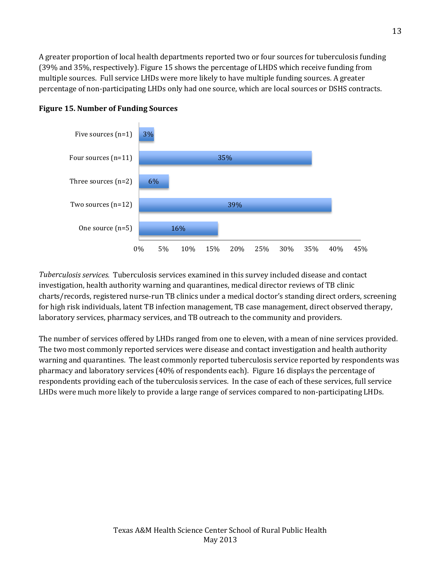A greater proportion of local health departments reported two or four sources for tuberculosis funding (39% and 35%, respectively). Figure 15 shows the percentage of LHDS which receive funding from multiple sources. Full service LHDs were more likely to have multiple funding sources. A greater percentage of non-participating LHDs only had one source, which are local sources or DSHS contracts.



## **Figure 15. Number of Funding Sources**

*Tuberculosis services.* Tuberculosis services examined in this survey included disease and contact investigation, health authority warning and quarantines, medical director reviews of TB clinic charts/records, registered nurse-run TB clinics under a medical doctor's standing direct orders, screening for high risk individuals, latent TB infection management, TB case management, direct observed therapy, laboratory services, pharmacy services, and TB outreach to the community and providers.

The number of services offered by LHDs ranged from one to eleven, with a mean of nine services provided. The two most commonly reported services were disease and contact investigation and health authority warning and quarantines. The least commonly reported tuberculosis service reported by respondents was pharmacy and laboratory services (40% of respondents each). Figure 16 displays the percentage of respondents providing each of the tuberculosis services. In the case of each of these services, full service LHDs were much more likely to provide a large range of services compared to non-participating LHDs.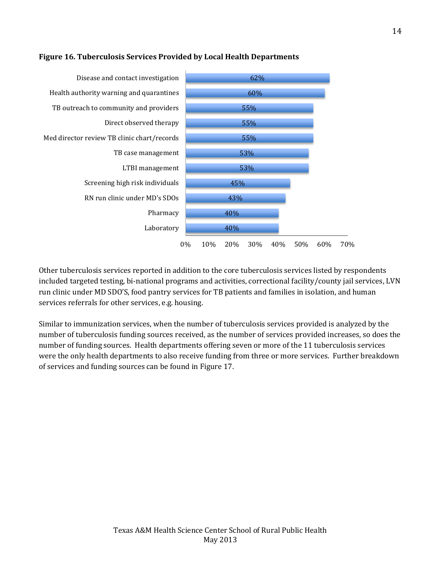

## **Figure 16. Tuberculosis Services Provided by Local Health Departments**

Other tuberculosis services reported in addition to the core tuberculosis services listed by respondents included targeted testing, bi-national programs and activities, correctional facility/county jail services, LVN run clinic under MD SDO'S, food pantry services for TB patients and families in isolation, and human services referrals for other services, e.g. housing.

Similar to immunization services, when the number of tuberculosis services provided is analyzed by the number of tuberculosis funding sources received, as the number of services provided increases, so does the number of funding sources. Health departments offering seven or more of the 11 tuberculosis services were the only health departments to also receive funding from three or more services. Further breakdown of services and funding sources can be found in Figure 17.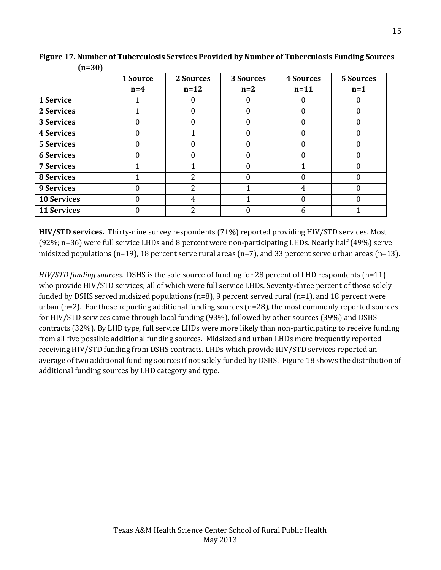|                    | 1 Source | 2 Sources | 3 Sources | <b>4 Sources</b> | <b>5 Sources</b> |
|--------------------|----------|-----------|-----------|------------------|------------------|
|                    | $n=4$    | $n=12$    | $n=2$     | $n=11$           | $n=1$            |
| 1 Service          |          |           |           |                  |                  |
| 2 Services         |          |           |           |                  |                  |
| 3 Services         |          | 0         |           |                  |                  |
| <b>4 Services</b>  | 0        |           | 0         |                  |                  |
| <b>5 Services</b>  |          |           |           |                  |                  |
| <b>6 Services</b>  |          |           |           |                  |                  |
| <b>7 Services</b>  |          |           |           |                  |                  |
| <b>8 Services</b>  |          | 2         |           |                  |                  |
| <b>9 Services</b>  |          | 2         |           |                  |                  |
| <b>10 Services</b> |          | 4         |           |                  |                  |
| <b>11 Services</b> |          | 2         |           |                  |                  |

**Figure 17. Number of Tuberculosis Services Provided by Number of Tuberculosis Funding Sources (n=30)**

**HIV/STD services.** Thirty-nine survey respondents (71%) reported providing HIV/STD services. Most (92%; n=36) were full service LHDs and 8 percent were non-participating LHDs. Nearly half (49%) serve midsized populations (n=19), 18 percent serve rural areas (n=7), and 33 percent serve urban areas (n=13).

*HIV/STD funding sources.* DSHS is the sole source of funding for 28 percent of LHD respondents (n=11) who provide HIV/STD services; all of which were full service LHDs. Seventy-three percent of those solely funded by DSHS served midsized populations (n=8), 9 percent served rural (n=1), and 18 percent were urban (n=2). For those reporting additional funding sources (n=28), the most commonly reported sources for HIV/STD services came through local funding (93%), followed by other sources (39%) and DSHS contracts (32%). By LHD type, full service LHDs were more likely than non-participating to receive funding from all five possible additional funding sources. Midsized and urban LHDs more frequently reported receiving HIV/STD funding from DSHS contracts. LHDs which provide HIV/STD services reported an average of two additional funding sources if not solely funded by DSHS. Figure 18 shows the distribution of additional funding sources by LHD category and type.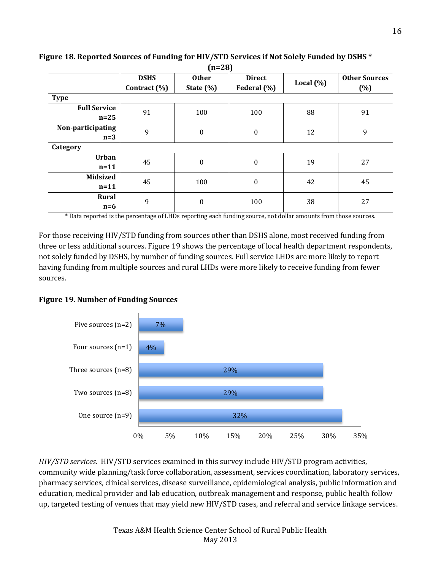| (11–40)                       |                             |                               |                              |              |                             |  |  |
|-------------------------------|-----------------------------|-------------------------------|------------------------------|--------------|-----------------------------|--|--|
|                               | <b>DSHS</b><br>Contract (%) | <b>Other</b><br>State $(\% )$ | <b>Direct</b><br>Federal (%) | Local $(\%)$ | <b>Other Sources</b><br>(%) |  |  |
| <b>Type</b>                   |                             |                               |                              |              |                             |  |  |
| <b>Full Service</b><br>$n=25$ | 91                          | 100                           | 100                          | 88           | 91                          |  |  |
| Non-participating<br>$n=3$    | 9                           | $\boldsymbol{0}$              | $\boldsymbol{0}$             | 12           | 9                           |  |  |
| Category                      |                             |                               |                              |              |                             |  |  |
| <b>Urban</b><br>$n=11$        | 45                          | $\mathbf{0}$                  | 0                            | 19           | 27                          |  |  |
| <b>Midsized</b><br>$n=11$     | 45                          | 100                           | $\boldsymbol{0}$             | 42           | 45                          |  |  |
| Rural<br>$n=6$                | 9                           | $\boldsymbol{0}$              | 100                          | 38           | 27                          |  |  |

**Figure 18. Reported Sources of Funding for HIV/STD Services if Not Solely Funded by DSHS \* (n=28)** 

\* Data reported is the percentage of LHDs reporting each funding source, not dollar amounts from those sources.

For those receiving HIV/STD funding from sources other than DSHS alone, most received funding from three or less additional sources. Figure 19 shows the percentage of local health department respondents, not solely funded by DSHS, by number of funding sources. Full service LHDs are more likely to report having funding from multiple sources and rural LHDs were more likely to receive funding from fewer sources.

#### **Figure 19. Number of Funding Sources**



*HIV/STD services.* HIV/STD services examined in this survey include HIV/STD program activities, community wide planning/task force collaboration, assessment, services coordination, laboratory services, pharmacy services, clinical services, disease surveillance, epidemiological analysis, public information and education, medical provider and lab education, outbreak management and response, public health follow up, targeted testing of venues that may yield new HIV/STD cases, and referral and service linkage services.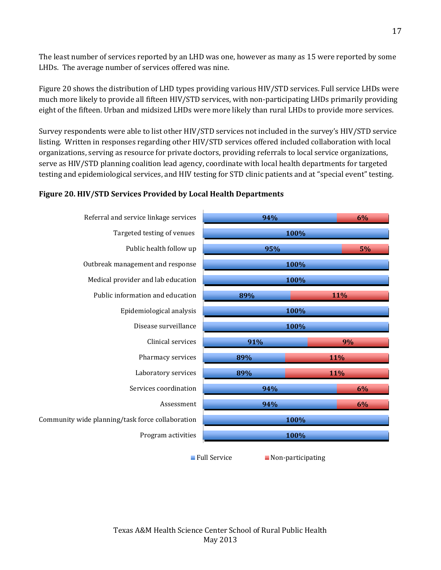The least number of services reported by an LHD was one, however as many as 15 were reported by some LHDs. The average number of services offered was nine.

Figure 20 shows the distribution of LHD types providing various HIV/STD services. Full service LHDs were much more likely to provide all fifteen HIV/STD services, with non-participating LHDs primarily providing eight of the fifteen. Urban and midsized LHDs were more likely than rural LHDs to provide more services.

Survey respondents were able to list other HIV/STD services not included in the survey's HIV/STD service listing. Written in responses regarding other HIV/STD services offered included collaboration with local organizations, serving as resource for private doctors, providing referrals to local service organizations, serve as HIV/STD planning coalition lead agency, coordinate with local health departments for targeted testing and epidemiological services, and HIV testing for STD clinic patients and at "special event" testing.

## **Figure 20. HIV/STD Services Provided by Local Health Departments**

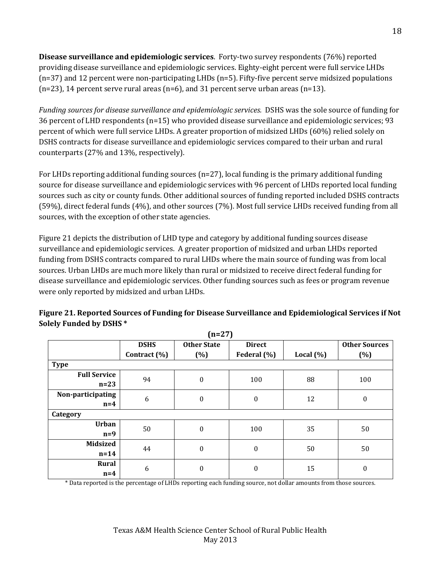**Disease surveillance and epidemiologic services**. Forty-two survey respondents (76%) reported providing disease surveillance and epidemiologic services. Eighty-eight percent were full service LHDs (n=37) and 12 percent were non-participating LHDs (n=5). Fifty-five percent serve midsized populations  $(n=23)$ , 14 percent serve rural areas  $(n=6)$ , and 31 percent serve urban areas  $(n=13)$ .

*Funding sources for disease surveillance and epidemiologic services.* DSHS was the sole source of funding for 36 percent of LHD respondents (n=15) who provided disease surveillance and epidemiologic services; 93 percent of which were full service LHDs. A greater proportion of midsized LHDs (60%) relied solely on DSHS contracts for disease surveillance and epidemiologic services compared to their urban and rural counterparts (27% and 13%, respectively).

For LHDs reporting additional funding sources (n=27), local funding is the primary additional funding source for disease surveillance and epidemiologic services with 96 percent of LHDs reported local funding sources such as city or county funds. Other additional sources of funding reported included DSHS contracts (59%), direct federal funds (4%), and other sources (7%). Most full service LHDs received funding from all sources, with the exception of other state agencies.

Figure 21 depicts the distribution of LHD type and category by additional funding sources disease surveillance and epidemiologic services. A greater proportion of midsized and urban LHDs reported funding from DSHS contracts compared to rural LHDs where the main source of funding was from local sources. Urban LHDs are much more likely than rural or midsized to receive direct federal funding for disease surveillance and epidemiologic services. Other funding sources such as fees or program revenue were only reported by midsized and urban LHDs.

| $(n=27)$            |              |                         |                  |               |                      |  |  |
|---------------------|--------------|-------------------------|------------------|---------------|----------------------|--|--|
|                     | <b>DSHS</b>  | <b>Other State</b>      | <b>Direct</b>    |               | <b>Other Sources</b> |  |  |
|                     | Contract (%) | (%)                     | Federal (%)      | Local $(\% )$ | (%)                  |  |  |
| <b>Type</b>         |              |                         |                  |               |                      |  |  |
| <b>Full Service</b> | 94           | $\boldsymbol{0}$        | 100              | 88            | 100                  |  |  |
| $n=23$              |              |                         |                  |               |                      |  |  |
| Non-participating   | 6            | $\boldsymbol{0}$        | $\boldsymbol{0}$ | 12            | $\boldsymbol{0}$     |  |  |
| $n=4$               |              |                         |                  |               |                      |  |  |
| Category            |              |                         |                  |               |                      |  |  |
| <b>Urban</b>        | 50           | $\boldsymbol{0}$<br>100 |                  | 35            | 50                   |  |  |
| $n=9$               |              |                         |                  |               |                      |  |  |
| <b>Midsized</b>     | 44           | $\boldsymbol{0}$        | $\boldsymbol{0}$ | 50            | 50                   |  |  |
| $n=14$              |              |                         |                  |               |                      |  |  |
| Rural               | 6            | $\boldsymbol{0}$        |                  | 15            |                      |  |  |
| $n=4$               |              |                         | $\boldsymbol{0}$ |               | $\boldsymbol{0}$     |  |  |

# **Figure 21. Reported Sources of Funding for Disease Surveillance and Epidemiological Services if Not Solely Funded by DSHS \***

**(n=27)**

\* Data reported is the percentage of LHDs reporting each funding source, not dollar amounts from those sources.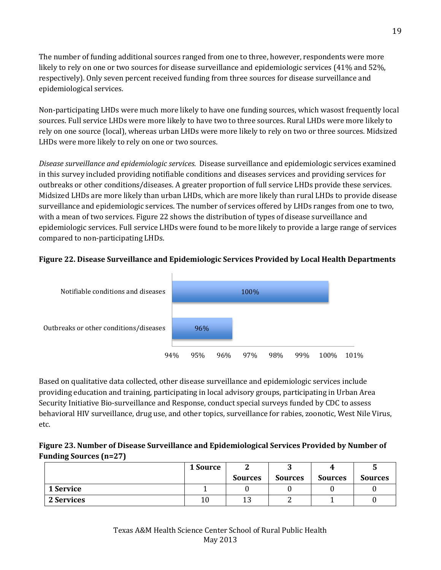The number of funding additional sources ranged from one to three, however, respondents were more likely to rely on one or two sources for disease surveillance and epidemiologic services (41% and 52%, respectively). Only seven percent received funding from three sources for disease surveillance and epidemiological services.

Non-participating LHDs were much more likely to have one funding sources, which wasost frequently local sources. Full service LHDs were more likely to have two to three sources. Rural LHDs were more likely to rely on one source (local), whereas urban LHDs were more likely to rely on two or three sources. Midsized LHDs were more likely to rely on one or two sources.

*Disease surveillance and epidemiologic services.* Disease surveillance and epidemiologic services examined in this survey included providing notifiable conditions and diseases services and providing services for outbreaks or other conditions/diseases. A greater proportion of full service LHDs provide these services. Midsized LHDs are more likely than urban LHDs, which are more likely than rural LHDs to provide disease surveillance and epidemiologic services. The number of services offered by LHDs ranges from one to two, with a mean of two services. Figure 22 shows the distribution of types of disease surveillance and epidemiologic services. Full service LHDs were found to be more likely to provide a large range of services compared to non-participating LHDs.

# **Figure 22. Disease Surveillance and Epidemiologic Services Provided by Local Health Departments**



Based on qualitative data collected, other disease surveillance and epidemiologic services include providing education and training, participating in local advisory groups, participating in Urban Area Security Initiative Bio-surveillance and Response, conduct special surveys funded by CDC to assess behavioral HIV surveillance, drug use, and other topics, surveillance for rabies, zoonotic, West Nile Virus, etc.

# **Figure 23. Number of Disease Surveillance and Epidemiological Services Provided by Number of Funding Sources (n=27)**

|            | 1 Source |                | ື              |                | ື              |
|------------|----------|----------------|----------------|----------------|----------------|
|            |          | <b>Sources</b> | <b>Sources</b> | <b>Sources</b> | <b>Sources</b> |
| 1 Service  |          |                |                |                |                |
| 2 Services | 10       | ⊥∪             | -              |                |                |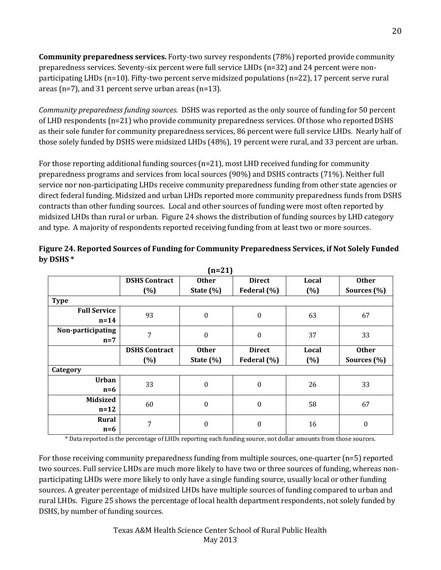**Community preparedness services.** Forty-two survey respondents (78%) reported provide community preparedness services. Seventy-six percent were full service LHDs (n=32) and 24 percent were nonparticipating LHDs (n=10). Fifty-two percent serve midsized populations (n=22), 17 percent serve rural areas (n=7), and 31 percent serve urban areas (n=13).

*Community preparedness funding sources.* DSHS was reported as the only source of funding for 50 percent of LHD respondents (n=21) who provide community preparedness services. Of those who reported DSHS as their sole funder for community preparedness services, 86 percent were full service LHDs. Nearly half of those solely funded by DSHS were midsized LHDs (48%), 19 percent were rural, and 33 percent are urban.

For those reporting additional funding sources (n=21), most LHD received funding for community preparedness programs and services from local sources (90%) and DSHS contracts (71%). Neither full service nor non-participating LHDs receive community preparedness funding from other state agencies or direct federal funding. Midsized and urban LHDs reported more community preparedness funds from DSHS contracts than other funding sources. Local and other sources of funding were most often reported by midsized LHDs than rural or urban. Figure 24 shows the distribution of funding sources by LHD category and type. A majority of respondents reported receiving funding from at least two or more sources.

|                     | <b>DSHS Contract</b> | $n=21$<br><b>Other</b> | <b>Direct</b>    | Local | <b>Other</b>     |
|---------------------|----------------------|------------------------|------------------|-------|------------------|
|                     | (%)                  | State $(\%)$           | Federal (%)      | (%)   | Sources (%)      |
| <b>Type</b>         |                      |                        |                  |       |                  |
| <b>Full Service</b> |                      |                        |                  |       |                  |
| $n=14$              | 93                   | $\boldsymbol{0}$       | $\boldsymbol{0}$ | 63    | 67               |
| Non-participating   | 7                    | $\boldsymbol{0}$       | $\boldsymbol{0}$ | 37    | 33               |
| $n=7$               |                      |                        |                  |       |                  |
|                     | <b>DSHS Contract</b> | <b>Other</b>           | <b>Direct</b>    | Local | <b>Other</b>     |
|                     | $(\% )$              | State $(\% )$          | Federal (%)      | (%)   | Sources (%)      |
| Category            |                      |                        |                  |       |                  |
| <b>Urban</b>        |                      | $\boldsymbol{0}$       | $\boldsymbol{0}$ | 26    | 33               |
| $n=6$               | 33                   |                        |                  |       |                  |
|                     |                      |                        |                  |       |                  |
| <b>Midsized</b>     |                      |                        |                  |       |                  |
| $n=12$              | 60                   | $\boldsymbol{0}$       | $\boldsymbol{0}$ | 58    | 67               |
| Rural               | 7                    | $\boldsymbol{0}$       | $\boldsymbol{0}$ | 16    | $\boldsymbol{0}$ |

**Figure 24. Reported Sources of Funding for Community Preparedness Services, if Not Solely Funded by DSHS \***   $(1)$ 

\* Data reported is the percentage of LHDs reporting each funding source, not dollar amounts from those sources.

For those receiving community preparedness funding from multiple sources, one-quarter (n=5) reported two sources. Full service LHDs are much more likely to have two or three sources of funding, whereas nonparticipating LHDs were more likely to only have a single funding source, usually local or other funding sources. A greater percentage of midsized LHDs have multiple sources of funding compared to urban and rural LHDs. Figure 25 shows the percentage of local health department respondents, not solely funded by DSHS, by number of funding sources.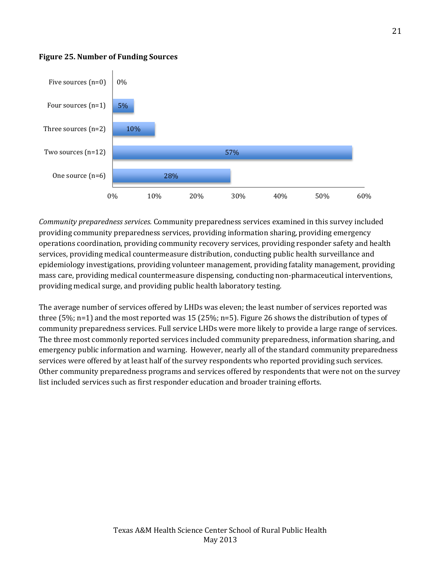

#### **Figure 25. Number of Funding Sources**

*Community preparedness services.* Community preparedness services examined in this survey included providing community preparedness services, providing information sharing, providing emergency operations coordination, providing community recovery services, providing responder safety and health services, providing medical countermeasure distribution, conducting public health surveillance and epidemiology investigations, providing volunteer management, providing fatality management, providing mass care, providing medical countermeasure dispensing, conducting non-pharmaceutical interventions, providing medical surge, and providing public health laboratory testing.

The average number of services offered by LHDs was eleven; the least number of services reported was three (5%; n=1) and the most reported was 15 (25%; n=5). Figure 26 shows the distribution of types of community preparedness services. Full service LHDs were more likely to provide a large range of services. The three most commonly reported services included community preparedness, information sharing, and emergency public information and warning. However, nearly all of the standard community preparedness services were offered by at least half of the survey respondents who reported providing such services. Other community preparedness programs and services offered by respondents that were not on the survey list included services such as first responder education and broader training efforts.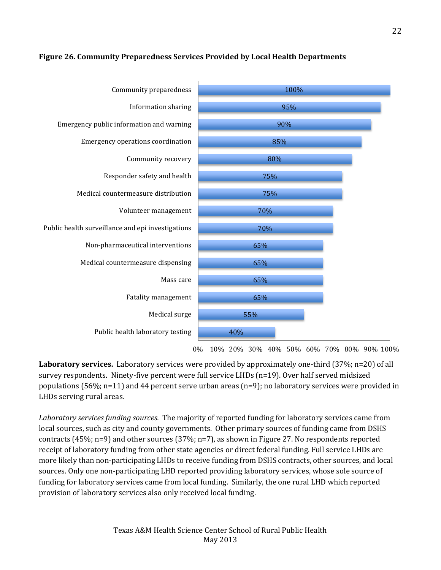## **Figure 26. Community Preparedness Services Provided by Local Health Departments**



0% 10% 20% 30% 40% 50% 60% 70% 80% 90% 100%

**Laboratory services.** Laboratory services were provided by approximately one-third (37%; n=20) of all survey respondents. Ninety-five percent were full service LHDs (n=19). Over half served midsized populations (56%; n=11) and 44 percent serve urban areas (n=9); no laboratory services were provided in LHDs serving rural areas.

*Laboratory services funding sources.* The majority of reported funding for laboratory services came from local sources, such as city and county governments. Other primary sources of funding came from DSHS contracts (45%; n=9) and other sources (37%; n=7), as shown in Figure 27. No respondents reported receipt of laboratory funding from other state agencies or direct federal funding. Full service LHDs are more likely than non-participating LHDs to receive funding from DSHS contracts, other sources, and local sources. Only one non-participating LHD reported providing laboratory services, whose sole source of funding for laboratory services came from local funding. Similarly, the one rural LHD which reported provision of laboratory services also only received local funding.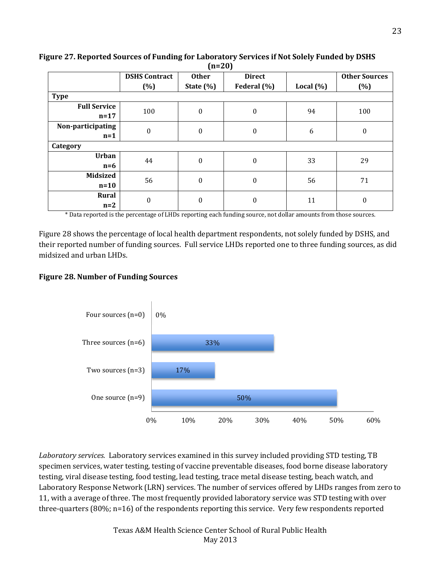|                     |                      | $\mathbf{v} = -\mathbf{v}$   |                  |               |                      |
|---------------------|----------------------|------------------------------|------------------|---------------|----------------------|
|                     | <b>DSHS Contract</b> | <b>Other</b>                 | <b>Direct</b>    |               | <b>Other Sources</b> |
|                     | $(\%)$               | State $(\% )$                | Federal (%)      | Local $(\% )$ | (%)                  |
| <b>Type</b>         |                      |                              |                  |               |                      |
| <b>Full Service</b> | 100                  | $\boldsymbol{0}$             | $\boldsymbol{0}$ | 94            | 100                  |
| $n=17$              |                      |                              |                  |               |                      |
| Non-participating   | $\boldsymbol{0}$     | $\boldsymbol{0}$             | $\mathbf{0}$     | 6             | $\boldsymbol{0}$     |
| $n=1$               |                      |                              |                  |               |                      |
| Category            |                      |                              |                  |               |                      |
| <b>Urban</b>        | 44                   | $\mathbf{0}$<br>$\mathbf{0}$ |                  | 33            | 29                   |
| $n=6$               |                      |                              |                  |               |                      |
| <b>Midsized</b>     |                      | $\boldsymbol{0}$             | $\boldsymbol{0}$ | 56            | 71                   |
| $n=10$              | 56                   |                              |                  |               |                      |
| Rural               | $\boldsymbol{0}$     | $\boldsymbol{0}$             | $\theta$         | 11            | $\boldsymbol{0}$     |
| $n=2$               |                      |                              |                  |               |                      |

**Figure 27. Reported Sources of Funding for Laboratory Services if Not Solely Funded by DSHS (n=20)**

\* Data reported is the percentage of LHDs reporting each funding source, not dollar amounts from those sources.

Figure 28 shows the percentage of local health department respondents, not solely funded by DSHS, and their reported number of funding sources. Full service LHDs reported one to three funding sources, as did midsized and urban LHDs.

## **Figure 28. Number of Funding Sources**



*Laboratory services.* Laboratory services examined in this survey included providing STD testing, TB specimen services, water testing, testing of vaccine preventable diseases, food borne disease laboratory testing, viral disease testing, food testing, lead testing, trace metal disease testing, beach watch, and Laboratory Response Network (LRN) services. The number of services offered by LHDs ranges from zero to 11, with a average of three. The most frequently provided laboratory service was STD testing with over three-quarters (80%; n=16) of the respondents reporting this service. Very few respondents reported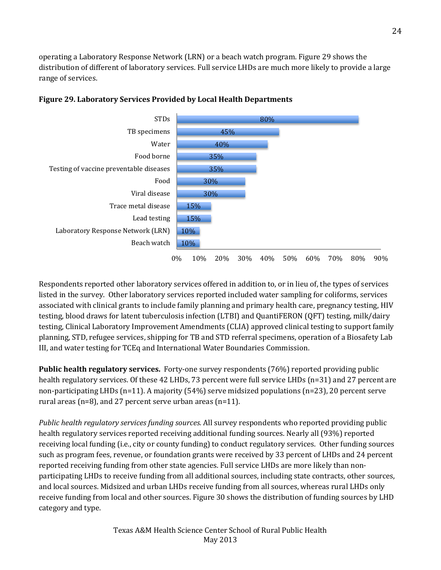operating a Laboratory Response Network (LRN) or a beach watch program. Figure 29 shows the distribution of different of laboratory services. Full service LHDs are much more likely to provide a large range of services.



## **Figure 29. Laboratory Services Provided by Local Health Departments**

Respondents reported other laboratory services offered in addition to, or in lieu of, the types of services listed in the survey. Other laboratory services reported included water sampling for coliforms, services associated with clinical grants to include family planning and primary health care, pregnancy testing, HIV testing, blood draws for latent tuberculosis infection (LTBI) and QuantiFERON (QFT) testing, milk/dairy testing, Clinical Laboratory Improvement Amendments (CLIA) approved clinical testing to support family planning, STD, refugee services, shipping for TB and STD referral specimens, operation of a Biosafety Lab III, and water testing for TCEq and International Water Boundaries Commission.

**Public health regulatory services.** Forty-one survey respondents (76%) reported providing public health regulatory services. Of these 42 LHDs, 73 percent were full service LHDs (n=31) and 27 percent are non-participating LHDs (n=11). A majority (54%) serve midsized populations (n=23), 20 percent serve rural areas (n=8), and 27 percent serve urban areas (n=11).

*Public health regulatory services funding sources.* All survey respondents who reported providing public health regulatory services reported receiving additional funding sources. Nearly all (93%) reported receiving local funding (i.e., city or county funding) to conduct regulatory services. Other funding sources such as program fees, revenue, or foundation grants were received by 33 percent of LHDs and 24 percent reported receiving funding from other state agencies. Full service LHDs are more likely than nonparticipating LHDs to receive funding from all additional sources, including state contracts, other sources, and local sources. Midsized and urban LHDs receive funding from all sources, whereas rural LHDs only receive funding from local and other sources. Figure 30 shows the distribution of funding sources by LHD category and type.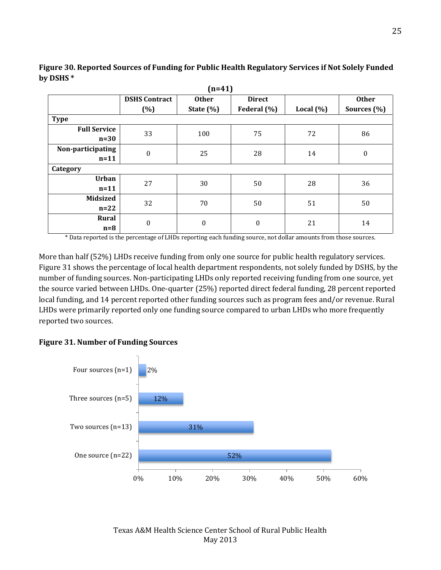| $(n=41)$                      |                      |                  |                  |              |                  |  |  |  |  |  |
|-------------------------------|----------------------|------------------|------------------|--------------|------------------|--|--|--|--|--|
|                               | <b>DSHS Contract</b> | <b>Other</b>     | <b>Direct</b>    |              | <b>Other</b>     |  |  |  |  |  |
|                               | (%)                  | State (%)        | Federal (%)      | Local $(\%)$ | Sources (%)      |  |  |  |  |  |
| <b>Type</b>                   |                      |                  |                  |              |                  |  |  |  |  |  |
| <b>Full Service</b><br>$n=30$ | 33                   | 100              | 75               | 72           | 86               |  |  |  |  |  |
| Non-participating<br>$n=11$   | $\boldsymbol{0}$     | 25               | 28               | 14           | $\boldsymbol{0}$ |  |  |  |  |  |
| Category                      |                      |                  |                  |              |                  |  |  |  |  |  |
| <b>Urban</b><br>$n=11$        | 27                   | 30               | 50               | 28           | 36               |  |  |  |  |  |
| <b>Midsized</b><br>$n=22$     | 32                   | 70               | 50               | 51           | 50               |  |  |  |  |  |
| <b>Rural</b><br>$n=8$         | $\boldsymbol{0}$     | $\boldsymbol{0}$ | $\boldsymbol{0}$ | 21           | 14               |  |  |  |  |  |

**Figure 30. Reported Sources of Funding for Public Health Regulatory Services if Not Solely Funded by DSHS \*** 

\* Data reported is the percentage of LHDs reporting each funding source, not dollar amounts from those sources.

More than half (52%) LHDs receive funding from only one source for public health regulatory services. Figure 31 shows the percentage of local health department respondents, not solely funded by DSHS, by the number of funding sources. Non-participating LHDs only reported receiving funding from one source, yet the source varied between LHDs. One-quarter (25%) reported direct federal funding, 28 percent reported local funding, and 14 percent reported other funding sources such as program fees and/or revenue. Rural LHDs were primarily reported only one funding source compared to urban LHDs who more frequently reported two sources.

## **Figure 31. Number of Funding Sources**

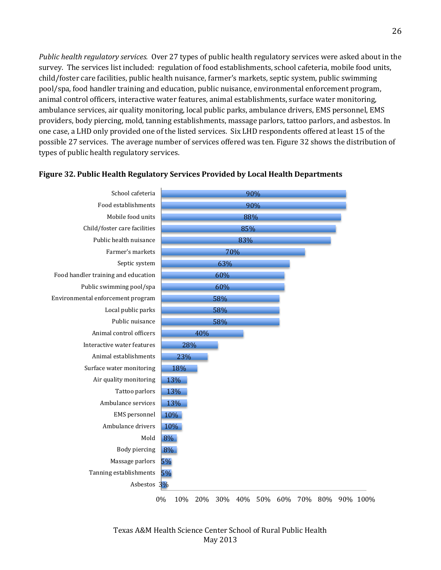*Public health regulatory services.* Over 27 types of public health regulatory services were asked about in the survey. The services list included: regulation of food establishments, school cafeteria, mobile food units, child/foster care facilities, public health nuisance, farmer's markets, septic system, public swimming pool/spa, food handler training and education, public nuisance, environmental enforcement program, animal control officers, interactive water features, animal establishments, surface water monitoring, ambulance services, air quality monitoring, local public parks, ambulance drivers, EMS personnel, EMS providers, body piercing, mold, tanning establishments, massage parlors, tattoo parlors, and asbestos. In one case, a LHD only provided one of the listed services. Six LHD respondents offered at least 15 of the possible 27 services. The average number of services offered was ten. Figure 32 shows the distribution of types of public health regulatory services.



#### **Figure 32. Public Health Regulatory Services Provided by Local Health Departments**

0% 10% 20% 30% 40% 50% 60% 70% 80% 90% 100%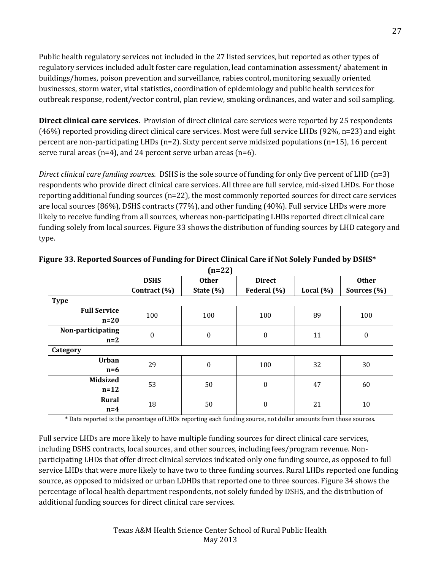Public health regulatory services not included in the 27 listed services, but reported as other types of regulatory services included adult foster care regulation, lead contamination assessment/ abatement in buildings/homes, poison prevention and surveillance, rabies control, monitoring sexually oriented businesses, storm water, vital statistics, coordination of epidemiology and public health services for outbreak response, rodent/vector control, plan review, smoking ordinances, and water and soil sampling.

**Direct clinical care services.** Provision of direct clinical care services were reported by 25 respondents (46%) reported providing direct clinical care services. Most were full service LHDs (92%, n=23) and eight percent are non-participating LHDs (n=2). Sixty percent serve midsized populations (n=15), 16 percent serve rural areas ( $n=4$ ), and 24 percent serve urban areas ( $n=6$ ).

*Direct clinical care funding sources.* DSHS is the sole source of funding for only five percent of LHD (n=3) respondents who provide direct clinical care services. All three are full service, mid-sized LHDs. For those reporting additional funding sources (n=22), the most commonly reported sources for direct care services are local sources (86%), DSHS contracts (77%), and other funding (40%). Full service LHDs were more likely to receive funding from all sources, whereas non-participating LHDs reported direct clinical care funding solely from local sources. Figure 33 shows the distribution of funding sources by LHD category and type.

|                     | <b>DSHS</b>      | <b>Other</b>     | <b>Direct</b>    |               | <b>Other</b>     |
|---------------------|------------------|------------------|------------------|---------------|------------------|
|                     | Contract (%)     | State $(\%)$     | Federal (%)      | Local $(\% )$ | Sources (%)      |
| <b>Type</b>         |                  |                  |                  |               |                  |
| <b>Full Service</b> | 100              | 100              | 100              | 89            | 100              |
| $n=20$              |                  |                  |                  |               |                  |
| Non-participating   | $\boldsymbol{0}$ | $\boldsymbol{0}$ | $\boldsymbol{0}$ | 11            | $\boldsymbol{0}$ |
| $n=2$               |                  |                  |                  |               |                  |
| Category            |                  |                  |                  |               |                  |
| <b>Urban</b>        | 29               | $\boldsymbol{0}$ | 100              | 32            | 30               |
| $n=6$               |                  |                  |                  |               |                  |
| <b>Midsized</b>     | 53               | 50               | $\boldsymbol{0}$ | 47            | 60               |
| $n=12$              |                  |                  |                  |               |                  |
| <b>Rural</b>        | 18               | 50               | $\boldsymbol{0}$ | 21            | 10               |
| $n=4$               |                  |                  |                  |               |                  |

**Figure 33. Reported Sources of Funding for Direct Clinical Care if Not Solely Funded by DSHS\* (n=22)** 

\* Data reported is the percentage of LHDs reporting each funding source, not dollar amounts from those sources.

Full service LHDs are more likely to have multiple funding sources for direct clinical care services, including DSHS contracts, local sources, and other sources, including fees/program revenue. Nonparticipating LHDs that offer direct clinical services indicated only one funding source, as opposed to full service LHDs that were more likely to have two to three funding sources. Rural LHDs reported one funding source, as opposed to midsized or urban LDHDs that reported one to three sources. Figure 34 shows the percentage of local health department respondents, not solely funded by DSHS, and the distribution of additional funding sources for direct clinical care services.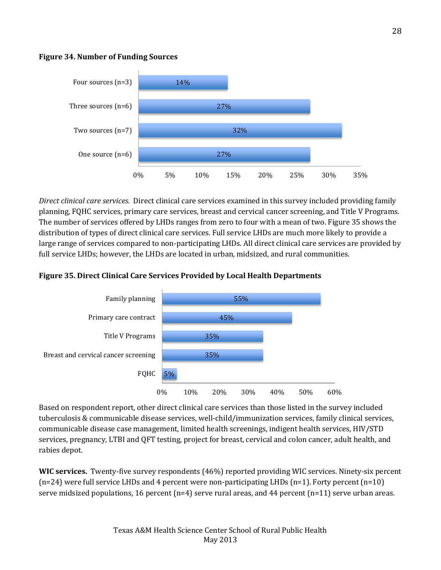



*Direct clinical care services.* Direct clinical care services examined in this survey included providing family planning, FQHC services, primary care services, breast and cervical cancer screening, and Title V Programs. The number of services offered by LHDs ranges from zero to four with a mean of two. Figure 35 shows the distribution of types of direct clinical care services. Full service LHDs are much more likely to provide a large range of services compared to non-participating LHDs. All direct clinical care services are provided by full service LHDs; however, the LHDs are located in urban, midsized, and rural communities.

# **Figure 35. Direct Clinical Care Services Provided by Local Health Departments**



Based on respondent report, other direct clinical care services than those listed in the survey included tuberculosis & communicable disease services, well-child/immunization services, family clinical services, communicable disease case management, limited health screenings, indigent health services, HIV/STD services, pregnancy, LTBI and QFT testing, project for breast, cervical and colon cancer, adult health, and rabies depot.

**WIC services.** Twenty-five survey respondents (46%) reported providing WIC services. Ninety-six percent  $(n=24)$  were full service LHDs and 4 percent were non-participating LHDs  $(n=1)$ . Forty percent  $(n=10)$ serve midsized populations, 16 percent ( $n=4$ ) serve rural areas, and 44 percent ( $n=11$ ) serve urban areas.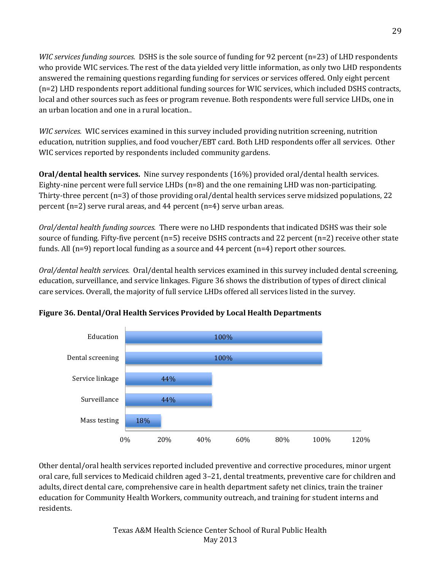*WIC services funding sources.* DSHS is the sole source of funding for 92 percent (n=23) of LHD respondents who provide WIC services. The rest of the data yielded very little information, as only two LHD respondents answered the remaining questions regarding funding for services or services offered. Only eight percent (n=2) LHD respondents report additional funding sources for WIC services, which included DSHS contracts, local and other sources such as fees or program revenue. Both respondents were full service LHDs, one in an urban location and one in a rural location..

*WIC services.* WIC services examined in this survey included providing nutrition screening, nutrition education, nutrition supplies, and food voucher/EBT card. Both LHD respondents offer all services. Other WIC services reported by respondents included community gardens.

**Oral/dental health services.** Nine survey respondents (16%) provided oral/dental health services. Eighty-nine percent were full service LHDs (n=8) and the one remaining LHD was non-participating. Thirty-three percent (n=3) of those providing oral/dental health services serve midsized populations, 22 percent (n=2) serve rural areas, and 44 percent (n=4) serve urban areas.

*Oral/dental health funding sources.* There were no LHD respondents that indicated DSHS was their sole source of funding. Fifty-five percent (n=5) receive DSHS contracts and 22 percent (n=2) receive other state funds. All (n=9) report local funding as a source and 44 percent (n=4) report other sources.

*Oral/dental health services.* Oral/dental health services examined in this survey included dental screening, education, surveillance, and service linkages. Figure 36 shows the distribution of types of direct clinical care services. Overall, the majority of full service LHDs offered all services listed in the survey.





Other dental/oral health services reported included preventive and corrective procedures, minor urgent oral care, full services to Medicaid children aged 3–21, dental treatments, preventive care for children and adults, direct dental care, comprehensive care in health department safety net clinics, train the trainer education for Community Health Workers, community outreach, and training for student interns and residents.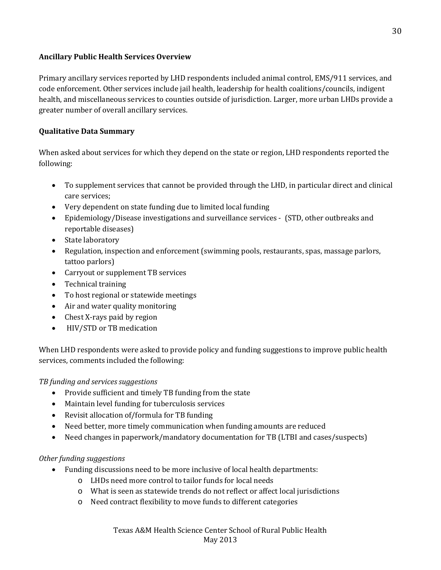## **Ancillary Public Health Services Overview**

Primary ancillary services reported by LHD respondents included animal control, EMS/911 services, and code enforcement. Other services include jail health, leadership for health coalitions/councils, indigent health, and miscellaneous services to counties outside of jurisdiction. Larger, more urban LHDs provide a greater number of overall ancillary services.

## **Qualitative Data Summary**

When asked about services for which they depend on the state or region, LHD respondents reported the following:

- To supplement services that cannot be provided through the LHD, in particular direct and clinical care services;
- Very dependent on state funding due to limited local funding
- Epidemiology/Disease investigations and surveillance services (STD, other outbreaks and reportable diseases)
- State laboratory
- Regulation, inspection and enforcement (swimming pools, restaurants, spas, massage parlors, tattoo parlors)
- Carryout or supplement TB services
- Technical training
- To host regional or statewide meetings
- Air and water quality monitoring
- Chest X-rays paid by region
- HIV/STD or TB medication

When LHD respondents were asked to provide policy and funding suggestions to improve public health services, comments included the following:

*TB funding and services suggestions*

- Provide sufficient and timely TB funding from the state
- Maintain level funding for tuberculosis services
- Revisit allocation of/formula for TB funding
- Need better, more timely communication when funding amounts are reduced
- Need changes in paperwork/mandatory documentation for TB (LTBI and cases/suspects)

# *Other funding suggestions*

- Funding discussions need to be more inclusive of local health departments:
	- o LHDs need more control to tailor funds for local needs
	- o What is seen as statewide trends do not reflect or affect local jurisdictions
	- o Need contract flexibility to move funds to different categories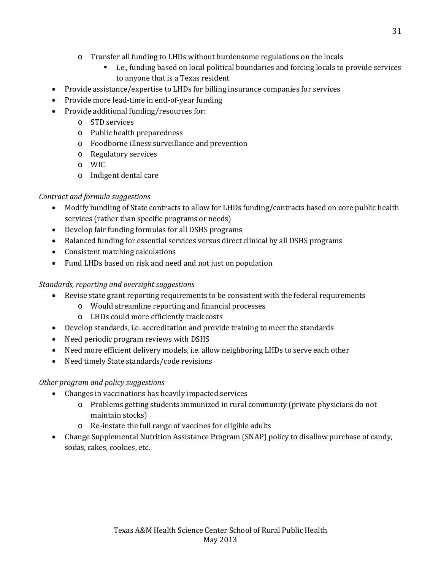- o Transfer all funding to LHDs without burdensome regulations on the locals
	- i.e., funding based on local political boundaries and forcing locals to provide services to anyone that is a Texas resident
- Provide assistance/expertise to LHDs for billing insurance companies for services
- Provide more lead-time in end-of-year funding
- Provide additional funding/resources for:
	- o STD services
	- o Public health preparedness
	- o Foodborne illness surveillance and prevention
	- o Regulatory services
	- o WIC
	- o Indigent dental care

# *Contract and formula suggestions*

- Modify bundling of State contracts to allow for LHDs funding/contracts based on core public health services (rather than specific programs or needs)
- Develop fair funding formulas for all DSHS programs
- Balanced funding for essential services versus direct clinical by all DSHS programs
- Consistent matching calculations
- Fund LHDs based on risk and need and not just on population

# *Standards, reporting and oversight suggestions*

- Revise state grant reporting requirements to be consistent with the federal requirements
	- o Would streamline reporting and financial processes
		- o LHDs could more efficiently track costs
- Develop standards, i.e. accreditation and provide training to meet the standards
- Need periodic program reviews with DSHS
- Need more efficient delivery models, i.e. allow neighboring LHDs to serve each other
- Need timely State standards/code revisions

# *Other program and policy suggestions*

- Changes in vaccinations has heavily impacted services
	- o Problems getting students immunized in rural community (private physicians do not maintain stocks)
	- o Re-instate the full range of vaccines for eligible adults
- Change Supplemental Nutrition Assistance Program (SNAP) policy to disallow purchase of candy, sodas, cakes, cookies, etc.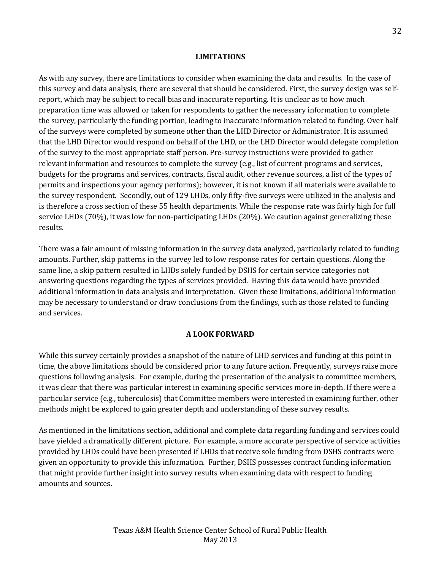#### **LIMITATIONS**

As with any survey, there are limitations to consider when examining the data and results. In the case of this survey and data analysis, there are several that should be considered. First, the survey design was selfreport, which may be subject to recall bias and inaccurate reporting. It is unclear as to how much preparation time was allowed or taken for respondents to gather the necessary information to complete the survey, particularly the funding portion, leading to inaccurate information related to funding. Over half of the surveys were completed by someone other than the LHD Director or Administrator. It is assumed that the LHD Director would respond on behalf of the LHD, or the LHD Director would delegate completion of the survey to the most appropriate staff person. Pre-survey instructions were provided to gather relevant information and resources to complete the survey (e.g., list of current programs and services, budgets for the programs and services, contracts, fiscal audit, other revenue sources, a list of the types of permits and inspections your agency performs); however, it is not known if all materials were available to the survey respondent. Secondly, out of 129 LHDs, only fifty-five surveys were utilized in the analysis and is therefore a cross section of these 55 health departments. While the response rate was fairly high for full service LHDs (70%), it was low for non-participating LHDs (20%). We caution against generalizing these results.

There was a fair amount of missing information in the survey data analyzed, particularly related to funding amounts. Further, skip patterns in the survey led to low response rates for certain questions. Along the same line, a skip pattern resulted in LHDs solely funded by DSHS for certain service categories not answering questions regarding the types of services provided. Having this data would have provided additional information in data analysis and interpretation. Given these limitations, additional information may be necessary to understand or draw conclusions from the findings, such as those related to funding and services.

## **A LOOK FORWARD**

While this survey certainly provides a snapshot of the nature of LHD services and funding at this point in time, the above limitations should be considered prior to any future action. Frequently, surveys raise more questions following analysis. For example, during the presentation of the analysis to committee members, it was clear that there was particular interest in examining specific services more in-depth. If there were a particular service (e.g., tuberculosis) that Committee members were interested in examining further, other methods might be explored to gain greater depth and understanding of these survey results.

As mentioned in the limitations section, additional and complete data regarding funding and services could have yielded a dramatically different picture. For example, a more accurate perspective of service activities provided by LHDs could have been presented if LHDs that receive sole funding from DSHS contracts were given an opportunity to provide this information. Further, DSHS possesses contract funding information that might provide further insight into survey results when examining data with respect to funding amounts and sources.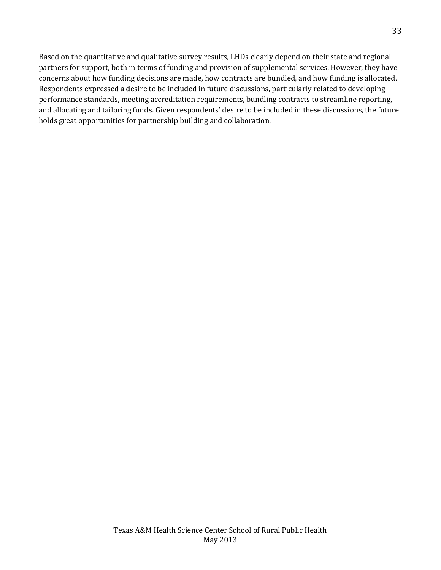Based on the quantitative and qualitative survey results, LHDs clearly depend on their state and regional partners for support, both in terms of funding and provision of supplemental services. However, they have concerns about how funding decisions are made, how contracts are bundled, and how funding is allocated. Respondents expressed a desire to be included in future discussions, particularly related to developing performance standards, meeting accreditation requirements, bundling contracts to streamline reporting, and allocating and tailoring funds. Given respondents' desire to be included in these discussions, the future holds great opportunities for partnership building and collaboration.